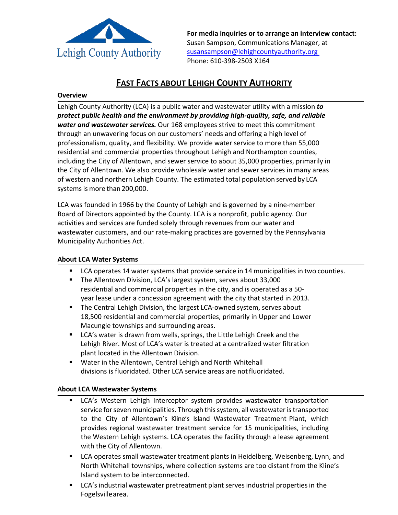

**For media inquiries or to arrange an interview contact:** Susan Sampson, Communications Manager, at [susansampson@lehighcountyauthority.org](mailto:susansampson@lehighcountyauthority.org)  Phone: 610-398-2503 X164

# **FAST FACTS ABOUT LEHIGH COUNTY AUTHORITY**

#### **Overview**

Lehigh County Authority (LCA) is a public water and wastewater utility with a mission *to protect public health and the environment by providing high-quality, safe, and reliable water and wastewater services.* Our 168 employees strive to meet this commitment through an unwavering focus on our customers' needs and offering a high level of professionalism, quality, and flexibility. We provide water service to more than 55,000 residential and commercial properties throughout Lehigh and Northampton counties, including the City of Allentown, and sewer service to about 35,000 properties, primarily in the City of Allentown. We also provide wholesale water and sewer services in many areas of western and northern Lehigh County. The estimated total population served by LCA systems is more than 200,000.

LCA was founded in 1966 by the County of Lehigh and is governed by a nine-member Board of Directors appointed by the County. LCA is a nonprofit, public agency. Our activities and services are funded solely through revenues from our water and wastewater customers, and our rate-making practices are governed by the Pennsylvania Municipality Authorities Act.

### **About LCA Water Systems**

- **LCA operates 14 water systems that provide service in 14 municipalities in two counties.**
- The Allentown Division, LCA's largest system, serves about 33,000 residential and commercial properties in the city, and is operated as a 50 year lease under a concession agreement with the city that started in 2013.
- **The Central Lehigh Division, the largest LCA-owned system, serves about** 18,500 residential and commercial properties, primarily in Upper and Lower Macungie townships and surrounding areas.
- **LCA's water is drawn from wells, springs, the Little Lehigh Creek and the** Lehigh River. Most of LCA's water is treated at a centralized water filtration plant located in the Allentown Division.
- Water in the Allentown, Central Lehigh and North Whitehall divisions is fluoridated. Other LCA service areas are notfluoridated.

### **About LCA Wastewater Systems**

- **LCA's Western Lehigh Interceptor system provides wastewater transportation** service for seven municipalities. Through this system, all wastewater is transported to the City of Allentown's Kline's Island Wastewater Treatment Plant, which provides regional wastewater treatment service for 15 municipalities, including the Western Lehigh systems. LCA operates the facility through a lease agreement with the City of Allentown.
- **EXTED** LCA operates small wastewater treatment plants in Heidelberg, Weisenberg, Lynn, and North Whitehall townships, where collection systems are too distant from the Kline's Island system to be interconnected.
- **EXA**'s industrial wastewater pretreatment plant serves industrial properties in the Fogelsvillearea.